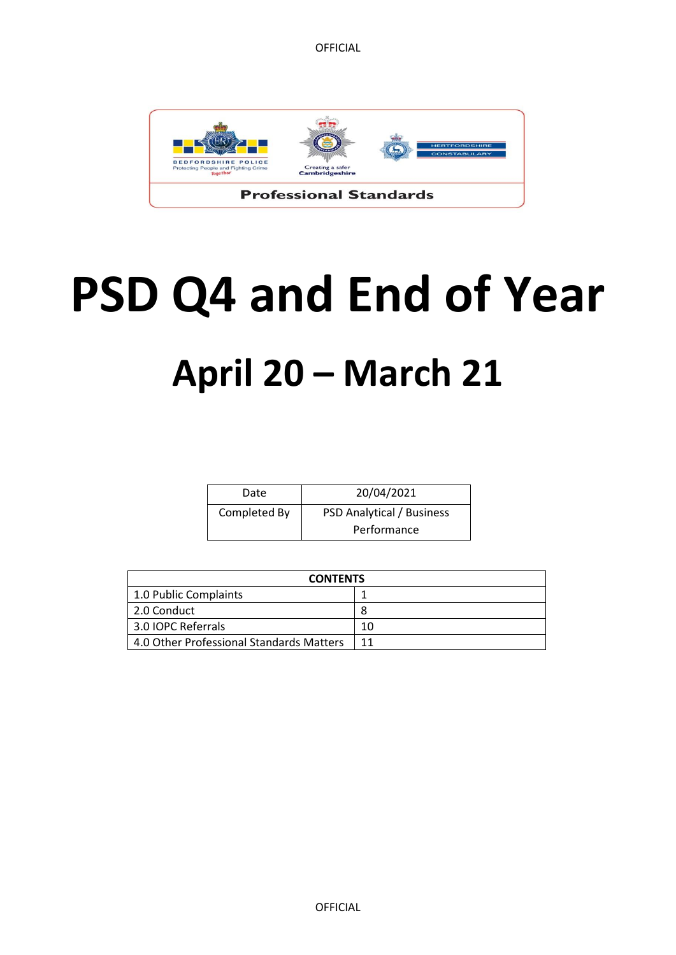

# **PSD Q4 and End of Year April 20 – March 21**

| Date         | 20/04/2021                       |
|--------------|----------------------------------|
| Completed By | <b>PSD Analytical / Business</b> |
|              | Performance                      |

| <b>CONTENTS</b>                          |    |
|------------------------------------------|----|
| 1.0 Public Complaints                    |    |
| 2.0 Conduct                              |    |
| 3.0 IOPC Referrals                       | 10 |
| 4.0 Other Professional Standards Matters | 11 |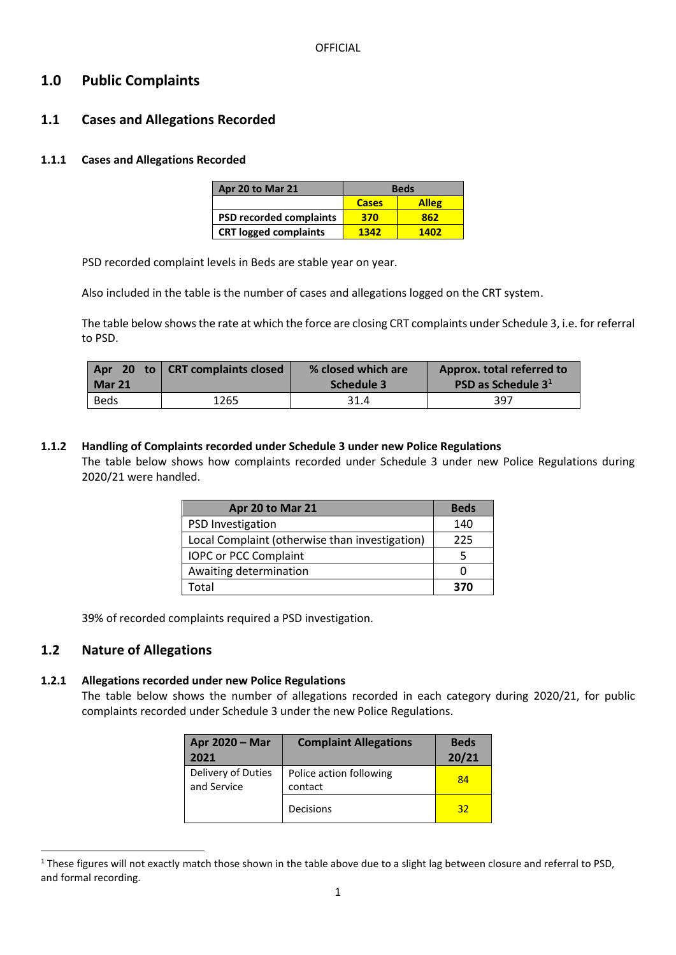# **1.0 Public Complaints**

# **1.1 Cases and Allegations Recorded**

#### **1.1.1 Cases and Allegations Recorded**

| Apr 20 to Mar 21               | <b>Beds</b>  |              |
|--------------------------------|--------------|--------------|
|                                | <b>Cases</b> | <b>Alleg</b> |
| <b>PSD recorded complaints</b> | 370          | 862          |
| <b>CRT logged complaints</b>   | 1342         | 1402         |

PSD recorded complaint levels in Beds are stable year on year.

Also included in the table is the number of cases and allegations logged on the CRT system.

The table below shows the rate at which the force are closing CRT complaints under Schedule 3, i.e. for referral to PSD.

| Mar 21 | Apr 20 to   CRT complaints closed | % closed which are<br>Schedule 3 | Approx. total referred to<br><b>PSD as Schedule 3<sup>1</sup></b> |
|--------|-----------------------------------|----------------------------------|-------------------------------------------------------------------|
| Beds   | 1265                              | 31.4                             | 397                                                               |

#### **1.1.2 Handling of Complaints recorded under Schedule 3 under new Police Regulations** The table below shows how complaints recorded under Schedule 3 under new Police Regulations during 2020/21 were handled.

| Apr 20 to Mar 21                               | <b>Beds</b> |
|------------------------------------------------|-------------|
| <b>PSD Investigation</b>                       | 140         |
| Local Complaint (otherwise than investigation) | 225         |
| IOPC or PCC Complaint                          |             |
| Awaiting determination                         |             |
| Total                                          | 370         |

39% of recorded complaints required a PSD investigation.

# **1.2 Nature of Allegations**

**.** 

#### **1.2.1 Allegations recorded under new Police Regulations**

The table below shows the number of allegations recorded in each category during 2020/21, for public complaints recorded under Schedule 3 under the new Police Regulations.

| Apr 2020 - Mar<br>2021            | <b>Complaint Allegations</b>       | <b>Beds</b><br>20/21 |
|-----------------------------------|------------------------------------|----------------------|
| Delivery of Duties<br>and Service | Police action following<br>contact | 84                   |
|                                   | Decisions                          | 32                   |

<sup>&</sup>lt;sup>1</sup> These figures will not exactly match those shown in the table above due to a slight lag between closure and referral to PSD, and formal recording.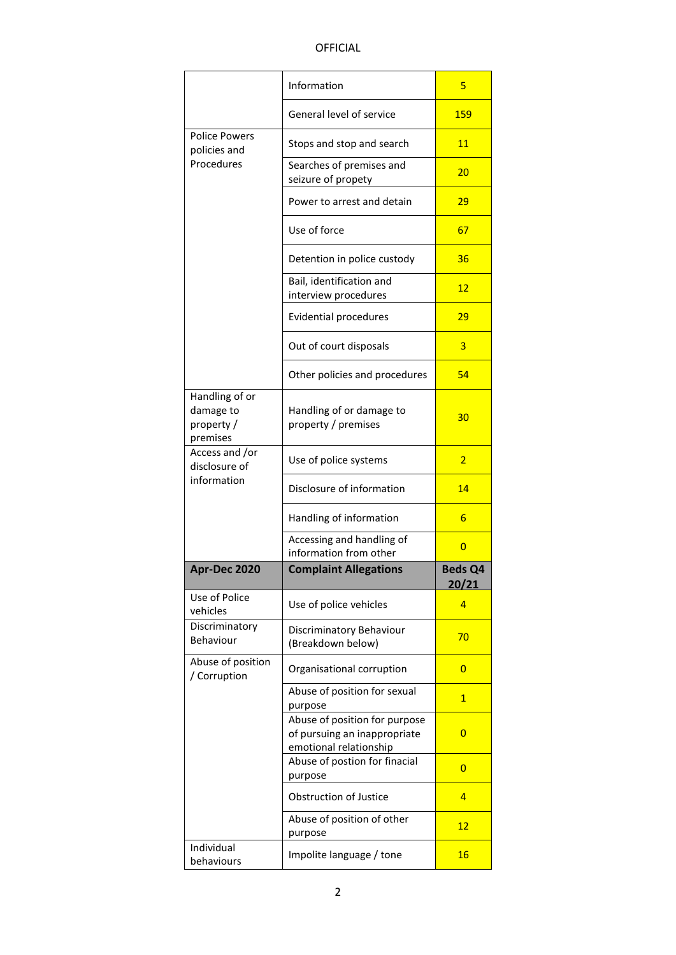|                                                       | Information                                                        | 5              |
|-------------------------------------------------------|--------------------------------------------------------------------|----------------|
|                                                       | General level of service                                           | 159            |
| <b>Police Powers</b><br>policies and                  | Stops and stop and search                                          | 11             |
| Procedures                                            | Searches of premises and<br>seizure of propety                     | 20             |
|                                                       | Power to arrest and detain                                         | 29             |
|                                                       | Use of force                                                       | 67             |
|                                                       | Detention in police custody                                        | 36             |
|                                                       | Bail, identification and<br>interview procedures                   | 12             |
|                                                       | <b>Evidential procedures</b>                                       | 29             |
|                                                       | Out of court disposals                                             | 3              |
|                                                       | Other policies and procedures                                      | 54             |
| Handling of or<br>damage to<br>property /<br>premises | Handling of or damage to<br>property / premises                    | 30             |
| Access and /or<br>disclosure of                       | Use of police systems                                              | $\overline{2}$ |
|                                                       |                                                                    |                |
| information                                           | Disclosure of information                                          | 14             |
|                                                       | Handling of information                                            | 6              |
|                                                       | Accessing and handling of<br>information from other                | 0              |
| Apr-Dec 2020                                          | <b>Complaint Allegations</b>                                       | <b>Beds Q4</b> |
| Use of Police<br>vehicles                             | Use of police vehicles                                             | 20/21<br>4     |
| Discriminatory<br>Behaviour                           | Discriminatory Behaviour<br>(Breakdown below)                      | 70             |
| Abuse of position<br>/ Corruption                     | Organisational corruption                                          | 0              |
|                                                       | Abuse of position for sexual<br>purpose                            | 1              |
|                                                       | Abuse of position for purpose<br>of pursuing an inappropriate      | 0              |
|                                                       | emotional relationship<br>Abuse of postion for finacial<br>purpose | 0              |
|                                                       | Obstruction of Justice                                             | 4              |
|                                                       | Abuse of position of other<br>purpose                              | 12             |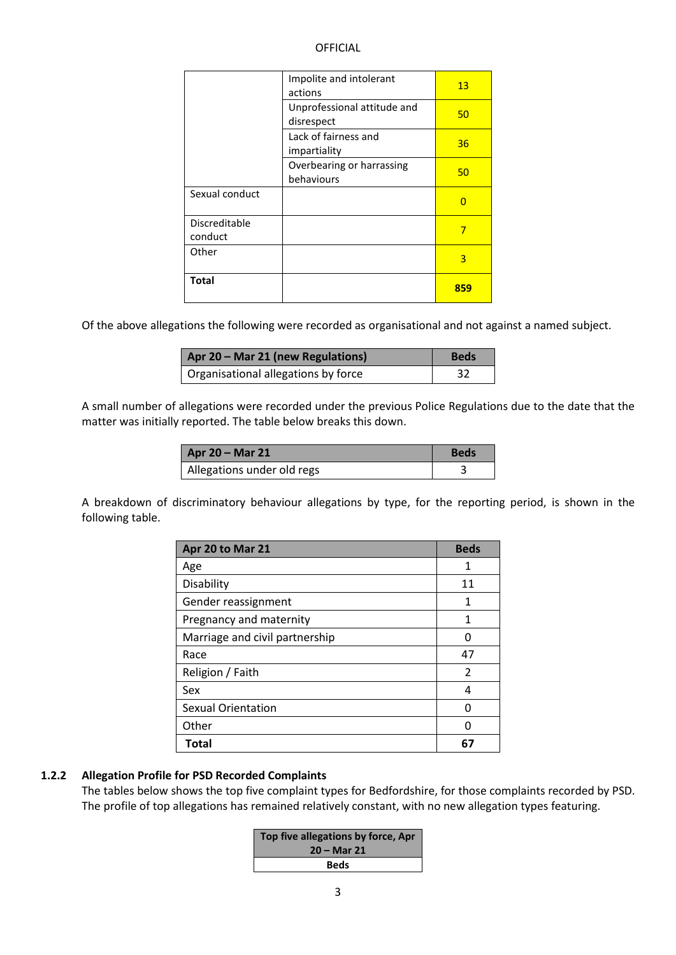|                | Impolite and intolerant<br>actions        | 13  |
|----------------|-------------------------------------------|-----|
|                | Unprofessional attitude and<br>disrespect | 50  |
|                | Lack of fairness and<br>impartiality      | 36  |
|                | Overbearing or harrassing<br>behaviours   | 50  |
| Sexual conduct |                                           | O   |
| Discreditable  |                                           | 7   |
| conduct        |                                           |     |
| Other          |                                           | 3   |
| <b>Total</b>   |                                           | 859 |

Of the above allegations the following were recorded as organisational and not against a named subject.

| Apr 20 - Mar 21 (new Regulations)                | <b>Beds</b> |
|--------------------------------------------------|-------------|
| <sup>1</sup> Organisational allegations by force |             |

A small number of allegations were recorded under the previous Police Regulations due to the date that the matter was initially reported. The table below breaks this down.

| <b>Apr 20 - Mar 21</b>     | Beds |
|----------------------------|------|
| Allegations under old regs |      |

A breakdown of discriminatory behaviour allegations by type, for the reporting period, is shown in the following table.

| Apr 20 to Mar 21               | <b>Beds</b>    |
|--------------------------------|----------------|
| Age                            | 1              |
| Disability                     | 11             |
| Gender reassignment            | 1              |
| Pregnancy and maternity        | 1              |
| Marriage and civil partnership | O              |
| Race                           | 47             |
| Religion / Faith               | $\overline{2}$ |
| Sex                            | 4              |
| <b>Sexual Orientation</b>      |                |
| Other                          | O              |
| <b>Total</b>                   | 6              |

#### **1.2.2 Allegation Profile for PSD Recorded Complaints**

The tables below shows the top five complaint types for Bedfordshire, for those complaints recorded by PSD. The profile of top allegations has remained relatively constant, with no new allegation types featuring.

| Top five allegations by force, Apr<br>20 – Mar 21 |
|---------------------------------------------------|
| <b>Beds</b>                                       |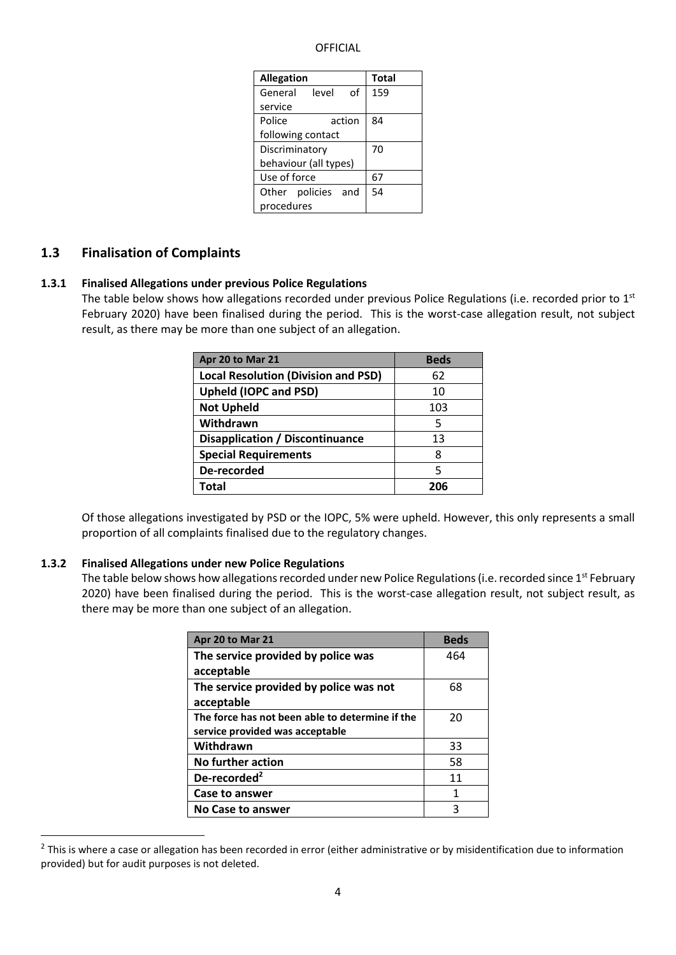| <b>Allegation</b>     |                    |    | <b>Total</b> |
|-----------------------|--------------------|----|--------------|
|                       | General level      | of | 159          |
| service               |                    |    |              |
| Police<br>action      |                    | 84 |              |
| following contact     |                    |    |              |
| Discriminatory        |                    | 70 |              |
| behaviour (all types) |                    |    |              |
| Use of force          |                    |    | 67           |
|                       | Other policies and |    | 54           |
| procedures            |                    |    |              |

#### **1.3 Finalisation of Complaints**

#### **1.3.1 Finalised Allegations under previous Police Regulations**

The table below shows how allegations recorded under previous Police Regulations (i.e. recorded prior to  $1<sup>st</sup>$ February 2020) have been finalised during the period. This is the worst-case allegation result, not subject result, as there may be more than one subject of an allegation.

| Apr 20 to Mar 21                           | <b>Beds</b> |
|--------------------------------------------|-------------|
| <b>Local Resolution (Division and PSD)</b> | 62          |
| <b>Upheld (IOPC and PSD)</b>               | 10          |
| <b>Not Upheld</b>                          | 103         |
| Withdrawn                                  | 5           |
| Disapplication / Discontinuance            | 13          |
| <b>Special Requirements</b>                | 8           |
| De-recorded                                | 5           |
| Total                                      | 206         |

Of those allegations investigated by PSD or the IOPC, 5% were upheld. However, this only represents a small proportion of all complaints finalised due to the regulatory changes.

#### **1.3.2 Finalised Allegations under new Police Regulations**

**.** 

The table below shows how allegations recorded under new Police Regulations (i.e. recorded since 1st February 2020) have been finalised during the period. This is the worst-case allegation result, not subject result, as there may be more than one subject of an allegation.

| Apr 20 to Mar 21                                | <b>Beds</b> |
|-------------------------------------------------|-------------|
| The service provided by police was              | 464         |
| acceptable                                      |             |
| The service provided by police was not          | 68          |
| acceptable                                      |             |
| The force has not been able to determine if the | 20          |
| service provided was acceptable                 |             |
| Withdrawn                                       | 33          |
| No further action                               | 58          |
| De-recorded <sup>2</sup>                        | 11          |
| Case to answer                                  | 1           |
| <b>No Case to answer</b>                        | 3           |

 $2$  This is where a case or allegation has been recorded in error (either administrative or by misidentification due to information provided) but for audit purposes is not deleted.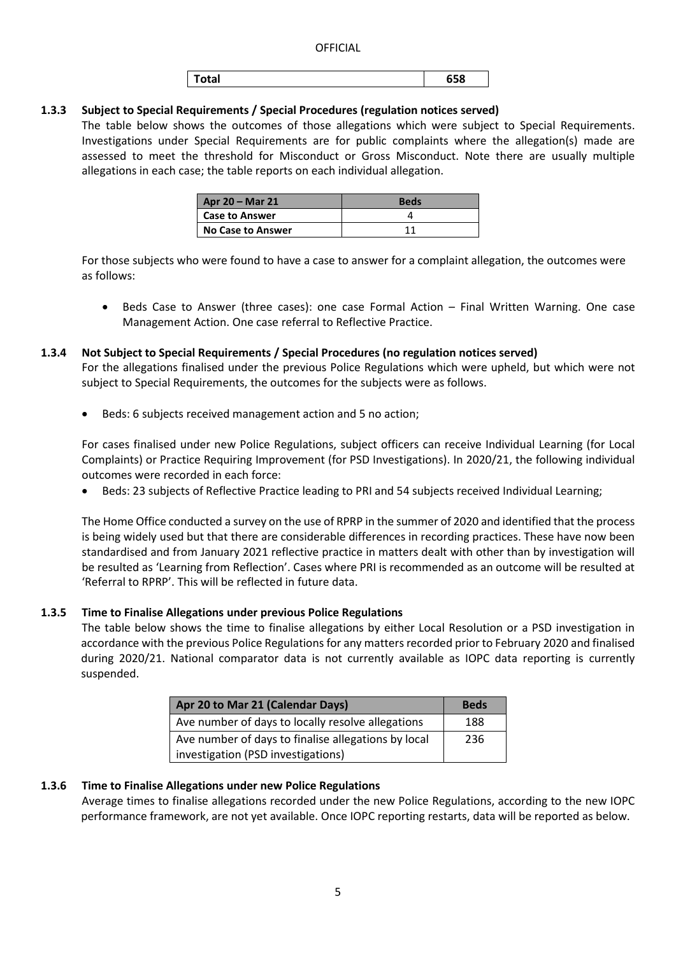| 658<br>™otal |
|--------------|
|--------------|

## **1.3.3 Subject to Special Requirements / Special Procedures (regulation notices served)**

The table below shows the outcomes of those allegations which were subject to Special Requirements. Investigations under Special Requirements are for public complaints where the allegation(s) made are assessed to meet the threshold for Misconduct or Gross Misconduct. Note there are usually multiple allegations in each case; the table reports on each individual allegation.

| Apr 20 – Mar 21          | <b>Beds</b> |
|--------------------------|-------------|
| <b>Case to Answer</b>    |             |
| <b>No Case to Answer</b> | 11          |

For those subjects who were found to have a case to answer for a complaint allegation, the outcomes were as follows:

• Beds Case to Answer (three cases): one case Formal Action – Final Written Warning. One case Management Action. One case referral to Reflective Practice.

## **1.3.4 Not Subject to Special Requirements / Special Procedures (no regulation notices served)**

For the allegations finalised under the previous Police Regulations which were upheld, but which were not subject to Special Requirements, the outcomes for the subjects were as follows.

Beds: 6 subjects received management action and 5 no action;

For cases finalised under new Police Regulations, subject officers can receive Individual Learning (for Local Complaints) or Practice Requiring Improvement (for PSD Investigations). In 2020/21, the following individual outcomes were recorded in each force:

• Beds: 23 subjects of Reflective Practice leading to PRI and 54 subjects received Individual Learning;

The Home Office conducted a survey on the use of RPRP in the summer of 2020 and identified that the process is being widely used but that there are considerable differences in recording practices. These have now been standardised and from January 2021 reflective practice in matters dealt with other than by investigation will be resulted as 'Learning from Reflection'. Cases where PRI is recommended as an outcome will be resulted at 'Referral to RPRP'. This will be reflected in future data.

## **1.3.5 Time to Finalise Allegations under previous Police Regulations**

The table below shows the time to finalise allegations by either Local Resolution or a PSD investigation in accordance with the previous Police Regulations for any matters recorded prior to February 2020 and finalised during 2020/21. National comparator data is not currently available as IOPC data reporting is currently suspended.

| Apr 20 to Mar 21 (Calendar Days)                    | <b>Beds</b> |
|-----------------------------------------------------|-------------|
| Ave number of days to locally resolve allegations   | 188         |
| Ave number of days to finalise allegations by local | 236         |
| investigation (PSD investigations)                  |             |

## **1.3.6 Time to Finalise Allegations under new Police Regulations**

Average times to finalise allegations recorded under the new Police Regulations, according to the new IOPC performance framework, are not yet available. Once IOPC reporting restarts, data will be reported as below.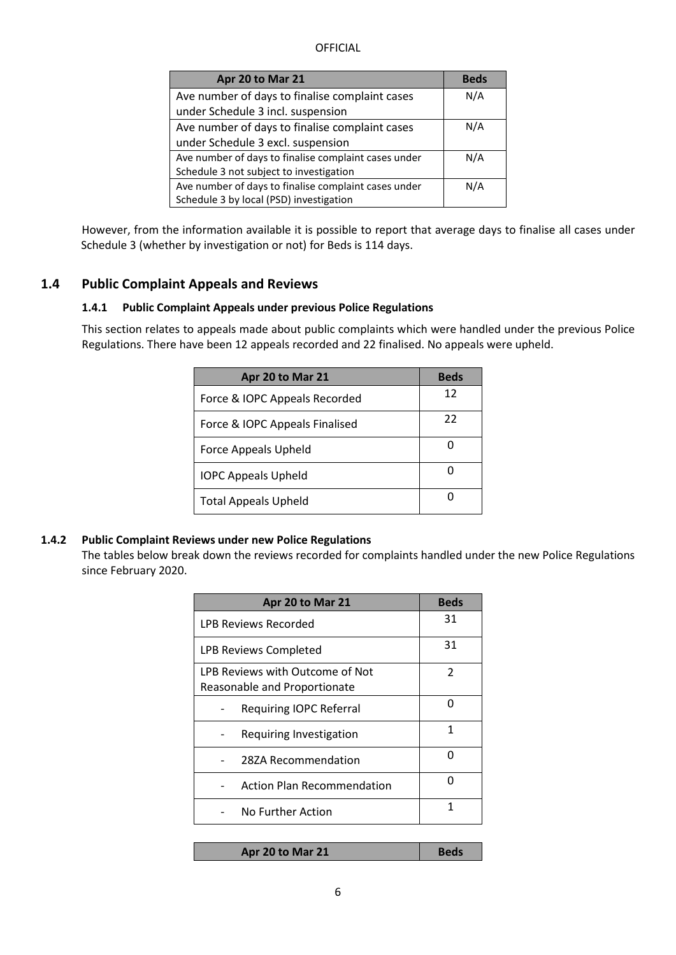| Apr 20 to Mar 21                                     | <b>Beds</b> |
|------------------------------------------------------|-------------|
| Ave number of days to finalise complaint cases       | N/A         |
| under Schedule 3 incl. suspension                    |             |
| Ave number of days to finalise complaint cases       | N/A         |
| under Schedule 3 excl. suspension                    |             |
| Ave number of days to finalise complaint cases under | N/A         |
| Schedule 3 not subject to investigation              |             |
| Ave number of days to finalise complaint cases under | N/A         |
| Schedule 3 by local (PSD) investigation              |             |

However, from the information available it is possible to report that average days to finalise all cases under Schedule 3 (whether by investigation or not) for Beds is 114 days.

## **1.4 Public Complaint Appeals and Reviews**

#### **1.4.1 Public Complaint Appeals under previous Police Regulations**

This section relates to appeals made about public complaints which were handled under the previous Police Regulations. There have been 12 appeals recorded and 22 finalised. No appeals were upheld.

| Apr 20 to Mar 21               | <b>Beds</b> |
|--------------------------------|-------------|
| Force & IOPC Appeals Recorded  | 12          |
| Force & IOPC Appeals Finalised | 22          |
| Force Appeals Upheld           |             |
| <b>IOPC Appeals Upheld</b>     |             |
| <b>Total Appeals Upheld</b>    |             |

#### **1.4.2 Public Complaint Reviews under new Police Regulations**

The tables below break down the reviews recorded for complaints handled under the new Police Regulations since February 2020.

| Apr 20 to Mar 21                  | <b>Beds</b>   |
|-----------------------------------|---------------|
| LPB Reviews Recorded              | 31            |
| LPB Reviews Completed             | 31            |
| LPB Reviews with Outcome of Not   | $\mathcal{P}$ |
| Reasonable and Proportionate      |               |
| <b>Requiring IOPC Referral</b>    | n             |
| Requiring Investigation           | 1             |
| 287A Recommendation               | n             |
| <b>Action Plan Recommendation</b> | n             |
| No Further Action                 | 1             |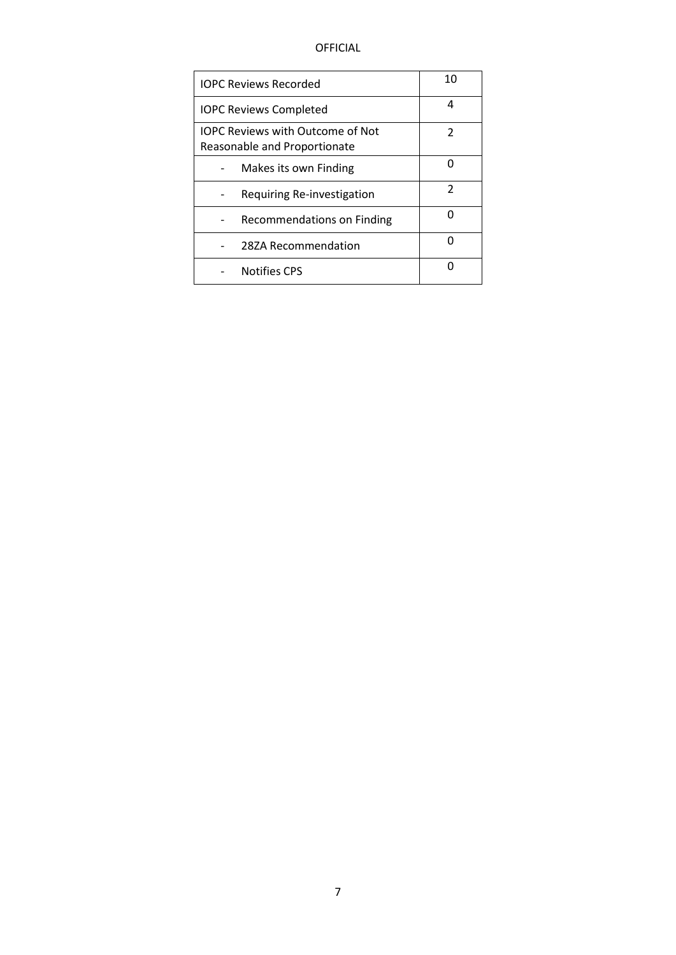| <b>IOPC Reviews Recorded</b>                                            | 10 |
|-------------------------------------------------------------------------|----|
| <b>IOPC Reviews Completed</b>                                           | Δ  |
| <b>IOPC Reviews with Outcome of Not</b><br>Reasonable and Proportionate | 2  |
| Makes its own Finding                                                   |    |
| Requiring Re-investigation                                              | 2  |
| Recommendations on Finding                                              |    |
| 28ZA Recommendation                                                     |    |
| <b>Notifies CPS</b>                                                     |    |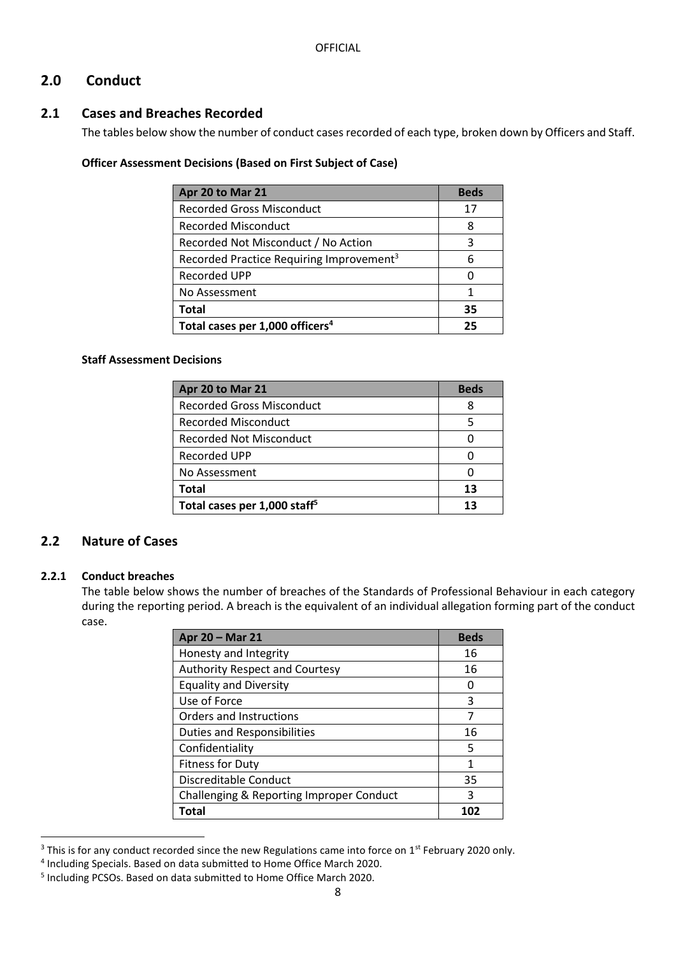# **2.0 Conduct**

# **2.1 Cases and Breaches Recorded**

The tables below show the number of conduct cases recorded of each type, broken down by Officers and Staff.

#### **Officer Assessment Decisions (Based on First Subject of Case)**

| Apr 20 to Mar 21                                     | <b>Beds</b> |
|------------------------------------------------------|-------------|
| <b>Recorded Gross Misconduct</b>                     | 17          |
| <b>Recorded Misconduct</b>                           | 8           |
| Recorded Not Misconduct / No Action                  | 3           |
| Recorded Practice Requiring Improvement <sup>3</sup> |             |
| Recorded UPP                                         |             |
| No Assessment                                        |             |
| <b>Total</b>                                         | 35          |
| Total cases per 1,000 officers <sup>4</sup>          | 25          |

#### **Staff Assessment Decisions**

| Apr 20 to Mar 21                         | <b>Beds</b> |
|------------------------------------------|-------------|
| <b>Recorded Gross Misconduct</b>         | 8           |
| <b>Recorded Misconduct</b>               |             |
| <b>Recorded Not Misconduct</b>           |             |
| Recorded UPP                             |             |
| No Assessment                            |             |
| Total                                    | 13          |
| Total cases per 1,000 staff <sup>5</sup> | 13          |

# **2.2 Nature of Cases**

## **2.2.1 Conduct breaches**

The table below shows the number of breaches of the Standards of Professional Behaviour in each category during the reporting period. A breach is the equivalent of an individual allegation forming part of the conduct case.

| Apr 20 - Mar 21                          | <b>Beds</b> |
|------------------------------------------|-------------|
| Honesty and Integrity                    | 16          |
| <b>Authority Respect and Courtesy</b>    | 16          |
| <b>Equality and Diversity</b>            | O           |
| Use of Force                             | 3           |
| Orders and Instructions                  |             |
| <b>Duties and Responsibilities</b>       | 16          |
| Confidentiality                          | 5           |
| <b>Fitness for Duty</b>                  | 1           |
| Discreditable Conduct                    | 35          |
| Challenging & Reporting Improper Conduct | 3           |
| Total                                    | 102         |

**<sup>.</sup>**  $3$  This is for any conduct recorded since the new Regulations came into force on  $1<sup>st</sup>$  February 2020 only.

<sup>4</sup> Including Specials. Based on data submitted to Home Office March 2020.

<sup>5</sup> Including PCSOs. Based on data submitted to Home Office March 2020.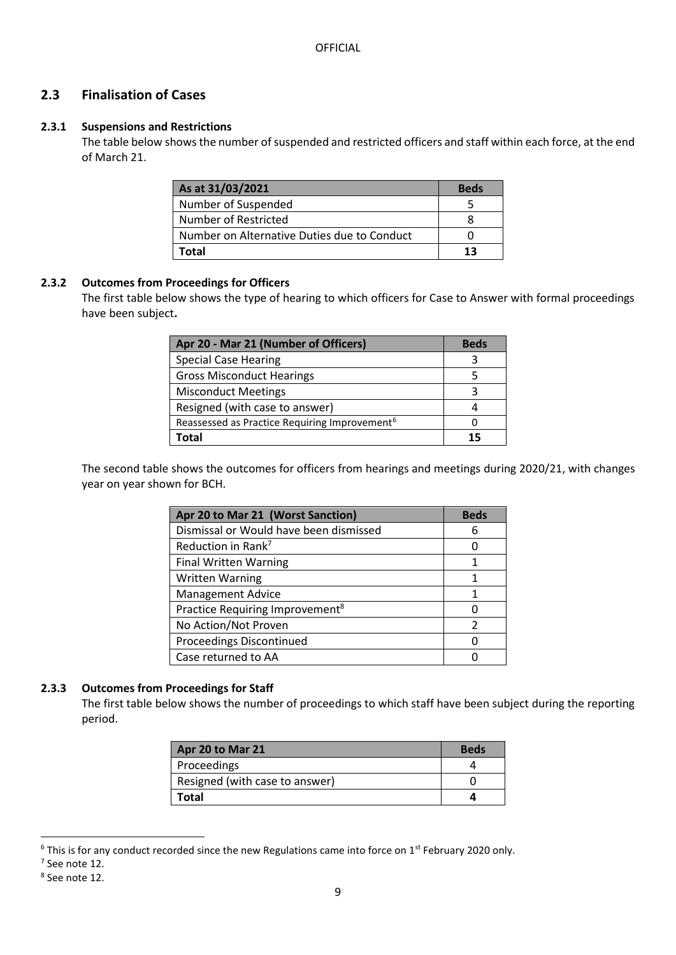# **2.3 Finalisation of Cases**

## **2.3.1 Suspensions and Restrictions**

The table below shows the number of suspended and restricted officers and staff within each force, at the end of March 21.

| As at 31/03/2021                            | <b>Beds</b> |
|---------------------------------------------|-------------|
| Number of Suspended                         |             |
| Number of Restricted                        |             |
| Number on Alternative Duties due to Conduct |             |
| Total                                       |             |

#### **2.3.2 Outcomes from Proceedings for Officers**

The first table below shows the type of hearing to which officers for Case to Answer with formal proceedings have been subject**.**

| Apr 20 - Mar 21 (Number of Officers)                      | <b>Beds</b> |
|-----------------------------------------------------------|-------------|
| <b>Special Case Hearing</b>                               |             |
| <b>Gross Misconduct Hearings</b>                          |             |
| <b>Misconduct Meetings</b>                                |             |
| Resigned (with case to answer)                            |             |
| Reassessed as Practice Requiring Improvement <sup>6</sup> |             |
| 'otal                                                     |             |

The second table shows the outcomes for officers from hearings and meetings during 2020/21, with changes year on year shown for BCH.

| Apr 20 to Mar 21 (Worst Sanction)           | <b>Beds</b> |
|---------------------------------------------|-------------|
| Dismissal or Would have been dismissed      | 6           |
| Reduction in Rank <sup>7</sup>              |             |
| <b>Final Written Warning</b>                |             |
| <b>Written Warning</b>                      |             |
| <b>Management Advice</b>                    | 1           |
| Practice Requiring Improvement <sup>8</sup> |             |
| No Action/Not Proven                        | 2           |
| <b>Proceedings Discontinued</b>             |             |
| Case returned to AA                         |             |

## **2.3.3 Outcomes from Proceedings for Staff**

The first table below shows the number of proceedings to which staff have been subject during the reporting period.

| Apr 20 to Mar 21               | <b>Beds</b> |
|--------------------------------|-------------|
| Proceedings                    |             |
| Resigned (with case to answer) |             |
| Total                          |             |

 $6$  This is for any conduct recorded since the new Regulations came into force on 1<sup>st</sup> February 2020 only.

**.** 

<sup>7</sup> See note 12.

<sup>8</sup> See note 12.